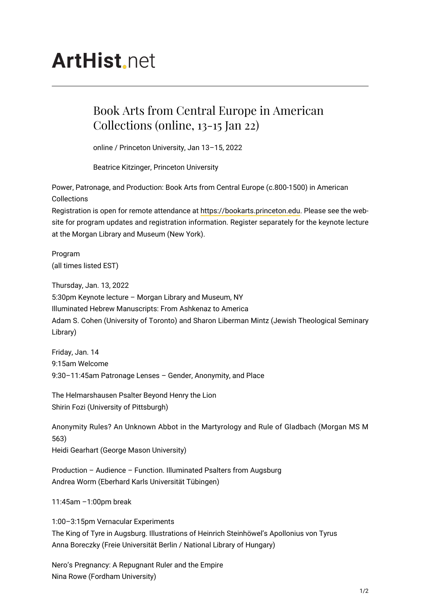# **ArtHist**, net

# Book Arts from Central Europe in American Collections (online, 13-15 Jan 22)

online / Princeton University, Jan 13–15, 2022

Beatrice Kitzinger, Princeton University

Power, Patronage, and Production: Book Arts from Central Europe (c.800-1500) in American Collections

Registration is open for remote attendance at <https://bookarts.princeton.edu>. Please see the website for program updates and registration information. Register separately for the keynote lecture at the Morgan Library and Museum (New York).

Program (all times listed EST)

Thursday, Jan. 13, 2022 5:30pm Keynote lecture – Morgan Library and Museum, NY Illuminated Hebrew Manuscripts: From Ashkenaz to America Adam S. Cohen (University of Toronto) and Sharon Liberman Mintz (Jewish Theological Seminary Library)

Friday, Jan. 14 9:15am Welcome 9:30–11:45am Patronage Lenses – Gender, Anonymity, and Place

The Helmarshausen Psalter Beyond Henry the Lion Shirin Fozi (University of Pittsburgh)

Anonymity Rules? An Unknown Abbot in the Martyrology and Rule of Gladbach (Morgan MS M 563) Heidi Gearhart (George Mason University)

Production – Audience – Function. Illuminated Psalters from Augsburg Andrea Worm (Eberhard Karls Universität Tübingen)

11:45am –1:00pm break

1:00–3:15pm Vernacular Experiments The King of Tyre in Augsburg. Illustrations of Heinrich Steinhöwel's Apollonius von Tyrus Anna Boreczky (Freie Universität Berlin / National Library of Hungary)

Nero's Pregnancy: A Repugnant Ruler and the Empire Nina Rowe (Fordham University)